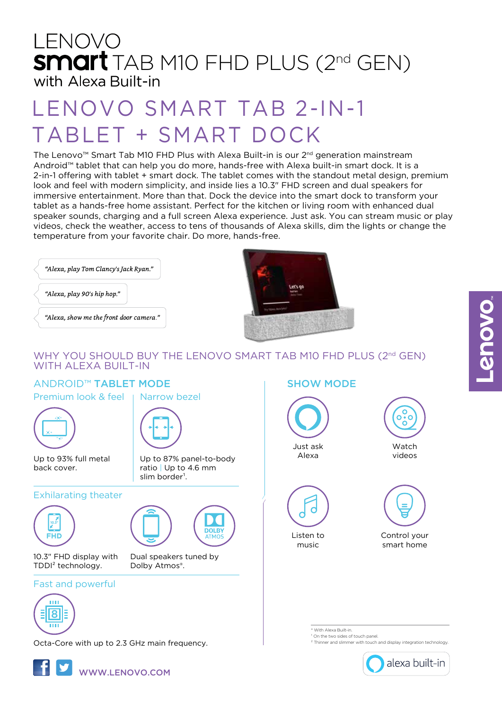# LENOVO **SMart** TAB M10 FHD PLUS (2<sup>nd</sup> GEN) with Alexa Built-in

# LENOVO SMART TAB 2-IN-1 TABLET + SMART DOCK

The Lenovo<sup>™</sup> Smart Tab M10 FHD Plus with Alexa Built-in is our  $2^{nd}$  generation mainstream Android™ tablet that can help you do more, hands-free with Alexa built-in smart dock. It is a 2-in-1 offering with tablet + smart dock. The tablet comes with the standout metal design, premium look and feel with modern simplicity, and inside lies a 10.3" FHD screen and dual speakers for immersive entertainment. More than that. Dock the device into the smart dock to transform your tablet as a hands-free home assistant. Perfect for the kitchen or living room with enhanced dual speaker sounds, charging and a full screen Alexa experience. Just ask. You can stream music or play videos, check the weather, access to tens of thousands of Alexa skills, dim the lights or change the temperature from your favorite chair. Do more, hands-free.

"Alexa, play Tom Clancy's Jack Ryan."

"Alexa, play 90's hip hop."

"Alexa, show me the front door camera."



### WHY YOU SHOULD BUY THE LENOVO SMART TAB M10 FHD PLUS (2nd GEN) WITH AI FXA BUILT-IN

Up to 87% panel-to-body ratio | Up to 4.6 mm

**DOLBY** 

slim border<sup>1</sup>.

Dual speakers tuned by

Dolby Atmos®.

### ANDROID™ **TABLET MODE** SHOW MODE

Premium look & feel Narrow bezel



Up to 93% full metal back cover.

### Exhilarating theater



10.3" FHD display with TDDI² technology.

### Fast and powerful



Octa-Core with up to 2.3 GHz main frequency.





Listen to music



**Watch** 

C Ō .<br>C ö

smart home

\* With Alexa Built-in.

<sup>1</sup> On the two sides of touch panel.<br><sup>2</sup> Thinner and slimmer with touch and display integration technology

alexa built-in